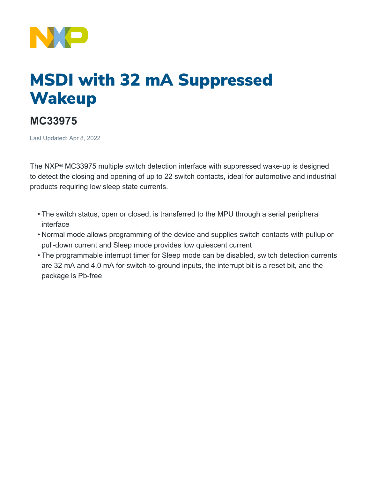

## MSDI with 32 mA Suppressed **Wakeup**

## **MC33975**

Last Updated: Apr 8, 2022

The NXP® MC33975 multiple switch detection interface with suppressed wake-up is designed to detect the closing and opening of up to 22 switch contacts, ideal for automotive and industrial products requiring low sleep state currents.

- The switch status, open or closed, is transferred to the MPU through a serial peripheral interface
- Normal mode allows programming of the device and supplies switch contacts with pullup or pull-down current and Sleep mode provides low quiescent current
- The programmable interrupt timer for Sleep mode can be disabled, switch detection currents are 32 mA and 4.0 mA for switch-to-ground inputs, the interrupt bit is a reset bit, and the package is Pb-free